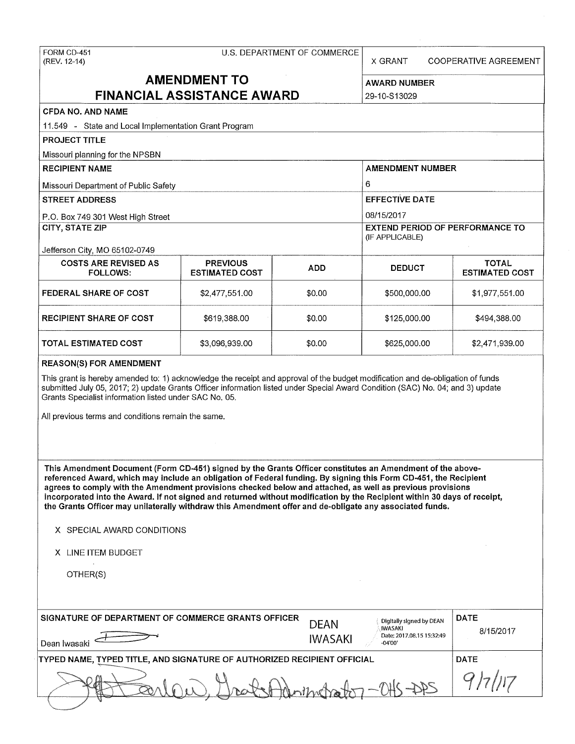FORM CD-451 (REV. 12-14)

### U.S. DEPARTMENT OF COMMERCE

X GRANT COOPERATIVE AGREEMENT

# **AMENDMENT TO FINANCIAL ASSISTANCE AWARD**

29-10-S 13029

| CFDA NO. AND NAME                                                                                                                                                                                                                                                                                                                                                                                                                                                                                                                                                                                                                                 |                                          |         |                                                           |                                       |  |  |  |
|---------------------------------------------------------------------------------------------------------------------------------------------------------------------------------------------------------------------------------------------------------------------------------------------------------------------------------------------------------------------------------------------------------------------------------------------------------------------------------------------------------------------------------------------------------------------------------------------------------------------------------------------------|------------------------------------------|---------|-----------------------------------------------------------|---------------------------------------|--|--|--|
| 11.549 - State and Local Implementation Grant Program                                                                                                                                                                                                                                                                                                                                                                                                                                                                                                                                                                                             |                                          |         |                                                           |                                       |  |  |  |
| <b>PROJECT TITLE</b>                                                                                                                                                                                                                                                                                                                                                                                                                                                                                                                                                                                                                              |                                          |         |                                                           |                                       |  |  |  |
| Missouri planning for the NPSBN                                                                                                                                                                                                                                                                                                                                                                                                                                                                                                                                                                                                                   |                                          |         |                                                           |                                       |  |  |  |
| <b>RECIPIENT NAME</b>                                                                                                                                                                                                                                                                                                                                                                                                                                                                                                                                                                                                                             |                                          |         | <b>AMENDMENT NUMBER</b>                                   |                                       |  |  |  |
| Missouri Department of Public Safety                                                                                                                                                                                                                                                                                                                                                                                                                                                                                                                                                                                                              |                                          |         | 6                                                         |                                       |  |  |  |
| <b>STREET ADDRESS</b>                                                                                                                                                                                                                                                                                                                                                                                                                                                                                                                                                                                                                             |                                          |         | <b>EFFECTIVE DATE</b>                                     |                                       |  |  |  |
| P.O. Box 749 301 West High Street                                                                                                                                                                                                                                                                                                                                                                                                                                                                                                                                                                                                                 |                                          |         | 08/15/2017                                                |                                       |  |  |  |
| <b>CITY, STATE ZIP</b>                                                                                                                                                                                                                                                                                                                                                                                                                                                                                                                                                                                                                            |                                          |         | <b>EXTEND PERIOD OF PERFORMANCE TO</b><br>(IF APPLICABLE) |                                       |  |  |  |
| Jefferson City, MO 65102-0749<br><b>COSTS ARE REVISED AS</b><br><b>FOLLOWS:</b>                                                                                                                                                                                                                                                                                                                                                                                                                                                                                                                                                                   | <b>PREVIOUS</b><br><b>ESTIMATED COST</b> | ADD     | <b>DEDUCT</b>                                             | <b>TOTAL</b><br><b>ESTIMATED COST</b> |  |  |  |
| <b>FEDERAL SHARE OF COST</b>                                                                                                                                                                                                                                                                                                                                                                                                                                                                                                                                                                                                                      | \$2,477,551.00                           | \$0.00  | \$500,000.00                                              | \$1,977,551.00                        |  |  |  |
| <b>RECIPIENT SHARE OF COST</b>                                                                                                                                                                                                                                                                                                                                                                                                                                                                                                                                                                                                                    | \$619,388.00                             | \$0.00  | \$125,000.00                                              | \$494,388.00                          |  |  |  |
| <b>TOTAL ESTIMATED COST</b>                                                                                                                                                                                                                                                                                                                                                                                                                                                                                                                                                                                                                       | \$3,096,939.00                           | \$0.00  | \$625,000.00                                              | \$2,471,939.00                        |  |  |  |
| <b>REASON(S) FOR AMENDMENT</b>                                                                                                                                                                                                                                                                                                                                                                                                                                                                                                                                                                                                                    |                                          |         |                                                           |                                       |  |  |  |
| Grants Specialist information listed under SAC No. 05.<br>All previous terms and conditions remain the same.                                                                                                                                                                                                                                                                                                                                                                                                                                                                                                                                      |                                          |         |                                                           |                                       |  |  |  |
| This Amendment Document (Form CD-451) signed by the Grants Officer constitutes an Amendment of the above-<br>referenced Award, which may include an obligation of Federal funding. By signing this Form CD-451, the Recipient<br>agrees to comply with the Amendment provisions checked below and attached, as well as previous provisions<br>incorporated into the Award. If not signed and returned without modification by the Recipient within 30 days of receipt,<br>the Grants Officer may unilaterally withdraw this Amendment offer and de-obligate any associated funds.<br>X SPECIAL AWARD CONDITIONS<br>X LINE ITEM BUDGET<br>OTHER(S) |                                          |         |                                                           |                                       |  |  |  |
| SIGNATURE OF DEPARTMENT OF COMMERCE GRANTS OFFICER                                                                                                                                                                                                                                                                                                                                                                                                                                                                                                                                                                                                |                                          | DEAN    | Digitally signed by DEAN<br><b>IWASAKI</b>                | <b>DATE</b><br>8/15/2017              |  |  |  |
| Dean Iwasaki                                                                                                                                                                                                                                                                                                                                                                                                                                                                                                                                                                                                                                      |                                          | IWASAKI | Date: 2017.08.15 15:32:49<br>-04'00'                      |                                       |  |  |  |
| TYPED NAME, TYPED TITLE, AND SIGNATURE OF AUTHORIZED RECIPIENT OFFICIAL                                                                                                                                                                                                                                                                                                                                                                                                                                                                                                                                                                           |                                          |         |                                                           | <b>DATE</b>                           |  |  |  |
|                                                                                                                                                                                                                                                                                                                                                                                                                                                                                                                                                                                                                                                   |                                          |         |                                                           |                                       |  |  |  |